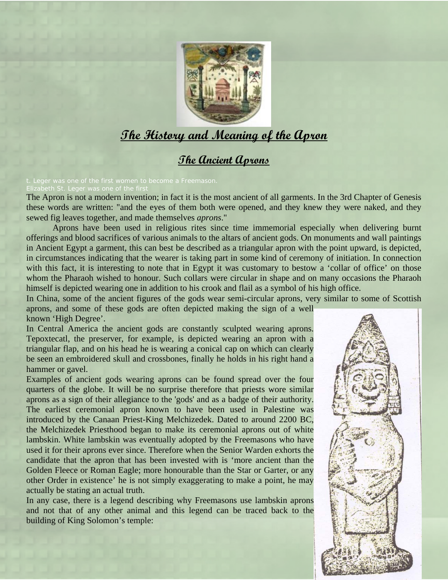

# **The History and Meaning of the Apron**

## **The Ancient Aprons**

Elizabeth St. Leger was one of the first

The Apron is not a modern invention; in fact it is the most ancient of all garments. In the 3rd Chapter of Genesis these words are written: "and the eyes of them both were opened, and they knew they were naked, and they sewed fig leaves together, and made themselves *aprons*."

Aprons have been used in religious rites since time immemorial especially when delivering burnt offerings and blood sacrifices of various animals to the altars of ancient gods. On monuments and wall paintings in Ancient Egypt a garment, this can best be described as a triangular apron with the point upward, is depicted, in circumstances indicating that the wearer is taking part in some kind of ceremony of initiation. In connection with this fact, it is interesting to note that in Egypt it was customary to bestow a 'collar of office' on those whom the Pharaoh wished to honour. Such collars were circular in shape and on many occasions the Pharaoh himself is depicted wearing one in addition to his crook and flail as a symbol of his high office.

In China, some of the ancient figures of the gods wear semi-circular aprons, very similar to some of Scottish aprons, and some of these gods are often depicted making the sign of a well

known 'High Degree'.

In Central America the ancient gods are constantly sculpted wearing aprons. Tepoxtecatl, the preserver, for example, is depicted wearing an apron with a triangular flap, and on his head he is wearing a conical cap on which can clearly be seen an embroidered skull and crossbones, finally he holds in his right hand a hammer or gavel.

Examples of ancient gods wearing aprons can be found spread over the four quarters of the globe. It will be no surprise therefore that priests wore similar aprons as a sign of their allegiance to the 'gods' and as a badge of their authority. The earliest ceremonial apron known to have been used in Palestine was introduced by the Canaan Priest-King Melchizedek. Dated to around 2200 BC, the Melchizedek Priesthood began to make its ceremonial aprons out of white lambskin. White lambskin was eventually adopted by the Freemasons who have used it for their aprons ever since. Therefore when the Senior Warden exhorts the candidate that the apron that has been invested with is 'more ancient than the Golden Fleece or Roman Eagle; more honourable than the Star or Garter, or any other Order in existence' he is not simply exaggerating to make a point, he may actually be stating an actual truth.

In any case, there is a legend describing why Freemasons use lambskin aprons and not that of any other animal and this legend can be traced back to the building of King Solomon's temple:

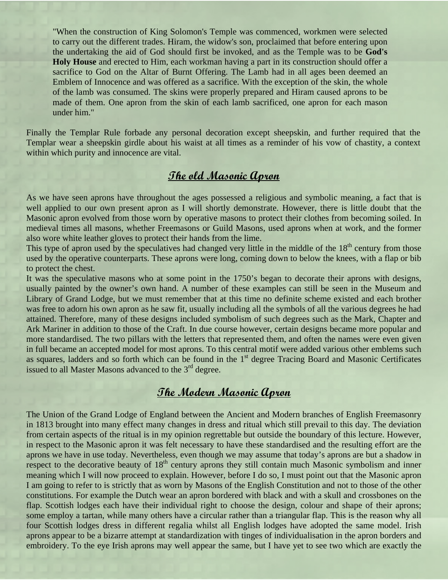"When the construction of King Solomon's Temple was commenced, workmen were selected to carry out the different trades. Hiram, the widow's son, proclaimed that before entering upon the undertaking the aid of God should first be invoked, and as the Temple was to be **God's Holy House** and erected to Him, each workman having a part in its construction should offer a sacrifice to God on the Altar of Burnt Offering. The Lamb had in all ages been deemed an Emblem of Innocence and was offered as a sacrifice. With the exception of the skin, the whole of the lamb was consumed. The skins were properly prepared and Hiram caused aprons to be made of them. One apron from the skin of each lamb sacrificed, one apron for each mason under him."

Finally the [Templar Rule](http://www.mystae.com/restricted/streams/masons/templars.html#Sheepskin) forbade any personal decoration except sheepskin, and further required that the Templar wear a sheepskin girdle about his waist at all times as a reminder of his vow of chastity, a context within which purity and innocence are vital.

### **The old Masonic Apron**

As we have seen aprons have throughout the ages possessed a religious and symbolic meaning, a fact that is well applied to our own present apron as I will shortly demonstrate. However, there is little doubt that the Masonic apron evolved from those worn by operative masons to protect their clothes from becoming soiled. In medieval times all masons, whether Freemasons or Guild Masons, used aprons when at work, and the former also wore white leather gloves to protect their hands from the lime.

This type of apron used by the speculatives had changed very little in the middle of the  $18<sup>th</sup>$  century from those used by the operative counterparts. These aprons were long, coming down to below the knees, with a flap or bib to protect the chest.

It was the speculative masons who at some point in the 1750's began to decorate their aprons with designs, usually painted by the owner's own hand. A number of these examples can still be seen in the Museum and Library of Grand Lodge, but we must remember that at this time no definite scheme existed and each brother was free to adorn his own apron as he saw fit, usually including all the symbols of all the various degrees he had attained. Therefore, many of these designs included symbolism of such degrees such as the Mark, Chapter and Ark Mariner in addition to those of the Craft. In due course however, certain designs became more popular and more standardised. The two pillars with the letters that represented them, and often the names were even given in full became an accepted model for most aprons. To this central motif were added various other emblems such as squares, ladders and so forth which can be found in the 1<sup>st</sup> degree Tracing Board and Masonic Certificates issued to all Master Masons advanced to the  $3<sup>rd</sup>$  degree.

#### **The Modern Masonic Apron**

The Union of the Grand Lodge of England between the Ancient and Modern branches of English Freemasonry in 1813 brought into many effect many changes in dress and ritual which still prevail to this day. The deviation from certain aspects of the ritual is in my opinion regrettable but outside the boundary of this lecture. However, in respect to the Masonic apron it was felt necessary to have these standardised and the resulting effort are the aprons we have in use today. Nevertheless, even though we may assume that today's aprons are but a shadow in respect to the decorative beauty of 18<sup>th</sup> century aprons they still contain much Masonic symbolism and inner meaning which I will now proceed to explain. However, before I do so, I must point out that the Masonic apron I am going to refer to is strictly that as worn by Masons of the English Constitution and not to those of the other constitutions. For example the Dutch wear an apron bordered with black and with a skull and crossbones on the flap. Scottish lodges each have their individual right to choose the design, colour and shape of their aprons; some employ a tartan, while many others have a circular rather than a triangular flap. This is the reason why all four Scottish lodges dress in different regalia whilst all English lodges have adopted the same model. Irish aprons appear to be a bizarre attempt at standardization with tinges of individualisation in the apron borders and embroidery. To the eye Irish aprons may well appear the same, but I have yet to see two which are exactly the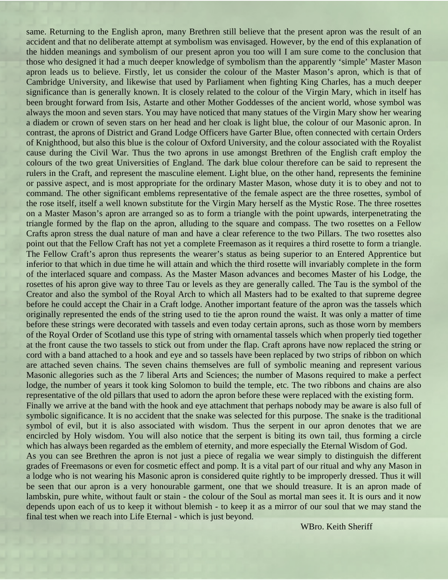same. Returning to the English apron, many Brethren still believe that the present apron was the result of an accident and that no deliberate attempt at symbolism was envisaged. However, by the end of this explanation of the hidden meanings and symbolism of our present apron you too will I am sure come to the conclusion that those who designed it had a much deeper knowledge of symbolism than the apparently 'simple' Master Mason apron leads us to believe. Firstly, let us consider the colour of the Master Mason's apron, which is that of Cambridge University, and likewise that used by Parliament when fighting King Charles, has a much deeper significance than is generally known. It is closely related to the colour of the Virgin Mary, which in itself has been brought forward from Isis, Astarte and other Mother Goddesses of the ancient world, whose symbol was always the moon and seven stars. You may have noticed that many statues of the Virgin Mary show her wearing a diadem or crown of seven stars on her head and her cloak is light blue, the colour of our Masonic apron. In contrast, the aprons of District and Grand Lodge Officers have Garter Blue, often connected with certain Orders of Knighthood, but also this blue is the colour of Oxford University, and the colour associated with the Royalist cause during the Civil War. Thus the two aprons in use amongst Brethren of the English craft employ the colours of the two great Universities of England. The dark blue colour therefore can be said to represent the rulers in the Craft, and represent the masculine element. Light blue, on the other hand, represents the feminine or passive aspect, and is most appropriate for the ordinary Master Mason, whose duty it is to obey and not to command. The other significant emblems representative of the female aspect are the three rosettes, symbol of the rose itself, itself a well known substitute for the Virgin Mary herself as the Mystic Rose. The three rosettes on a Master Mason's apron are arranged so as to form a triangle with the point upwards, interpenetrating the triangle formed by the flap on the apron, alluding to the square and compass. The two rosettes on a Fellow Crafts apron stress the dual nature of man and have a clear reference to the two Pillars. The two rosettes also point out that the Fellow Craft has not yet a complete Freemason as it requires a third rosette to form a triangle. The Fellow Craft's apron thus represents the wearer's status as being superior to an Entered Apprentice but inferior to that which in due time he will attain and which the third rosette will invariably complete in the form of the interlaced square and compass. As the Master Mason advances and becomes Master of his Lodge, the rosettes of his apron give way to three Tau or levels as they are generally called. The Tau is the symbol of the Creator and also the symbol of the Royal Arch to which all Masters had to be exalted to that supreme degree before he could accept the Chair in a Craft lodge. Another important feature of the apron was the tassels which originally represented the ends of the string used to tie the apron round the waist. It was only a matter of time before these strings were decorated with tassels and even today certain aprons, such as those worn by members of the Royal Order of Scotland use this type of string with ornamental tassels which when properly tied together at the front cause the two tassels to stick out from under the flap. Craft aprons have now replaced the string or cord with a band attached to a hook and eye and so tassels have been replaced by two strips of ribbon on which are attached seven chains. The seven chains themselves are full of symbolic meaning and represent various Masonic allegories such as the 7 liberal Arts and Sciences; the number of Masons required to make a perfect lodge, the number of years it took king Solomon to build the temple, etc. The two ribbons and chains are also representative of the old pillars that used to adorn the apron before these were replaced with the existing form. Finally we arrive at the band with the hook and eye attachment that perhaps nobody may be aware is also full of symbolic significance. It is no accident that the snake was selected for this purpose. The snake is the traditional symbol of evil, but it is also associated with wisdom. Thus the serpent in our apron denotes that we are encircled by Holy wisdom. You will also notice that the serpent is biting its own tail, thus forming a circle which has always been regarded as the emblem of eternity, and more especially the Eternal Wisdom of God. As you can see Brethren the apron is not just a piece of regalia we wear simply to distinguish the different grades of Freemasons or even for cosmetic effect and pomp. It is a vital part of our ritual and why any Mason in a lodge who is not wearing his Masonic apron is considered quite rightly to be improperly dressed. Thus it will be seen that our apron is a very honourable garment, one that we should treasure. It is an apron made of lambskin, pure white, without fault or stain - the colour of the Soul as mortal man sees it. It is ours and it now depends upon each of us to keep it without blemish - to keep it as a mirror of our soul that we may stand the final test when we reach into Life Eternal - which is just beyond.

WBro. Keith Sheriff